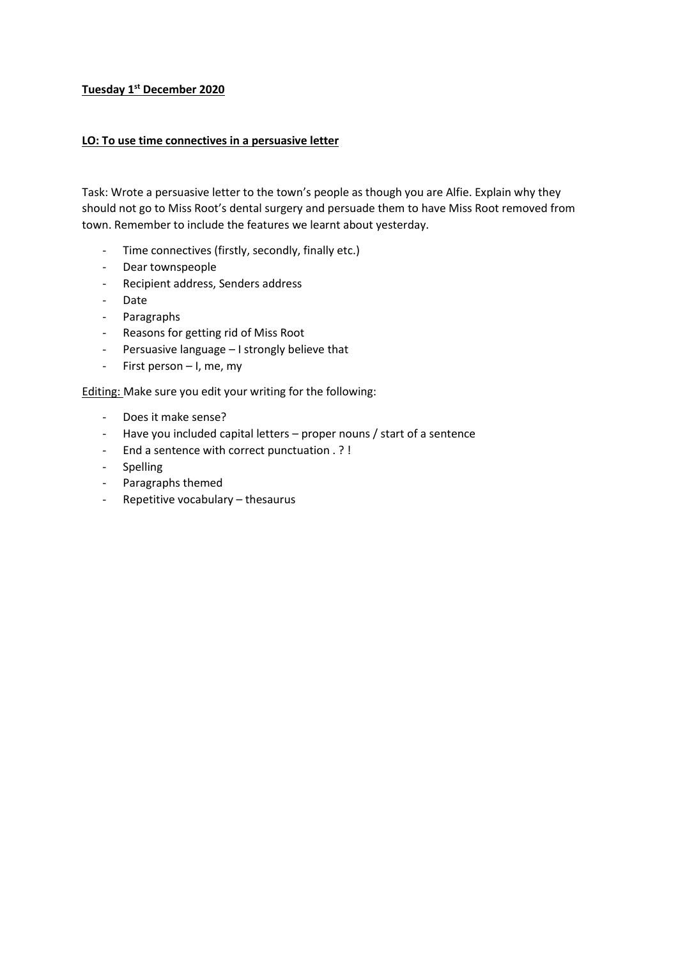## **Tuesday 1st December 2020**

## **LO: To use time connectives in a persuasive letter**

Task: Wrote a persuasive letter to the town's people as though you are Alfie. Explain why they should not go to Miss Root's dental surgery and persuade them to have Miss Root removed from town. Remember to include the features we learnt about yesterday.

- Time connectives (firstly, secondly, finally etc.)
- Dear townspeople
- Recipient address, Senders address
- Date
- Paragraphs
- Reasons for getting rid of Miss Root
- Persuasive language I strongly believe that
- First person I, me, my

Editing: Make sure you edit your writing for the following:

- Does it make sense?
- Have you included capital letters proper nouns / start of a sentence
- End a sentence with correct punctuation . ? !
- Spelling
- Paragraphs themed
- Repetitive vocabulary thesaurus